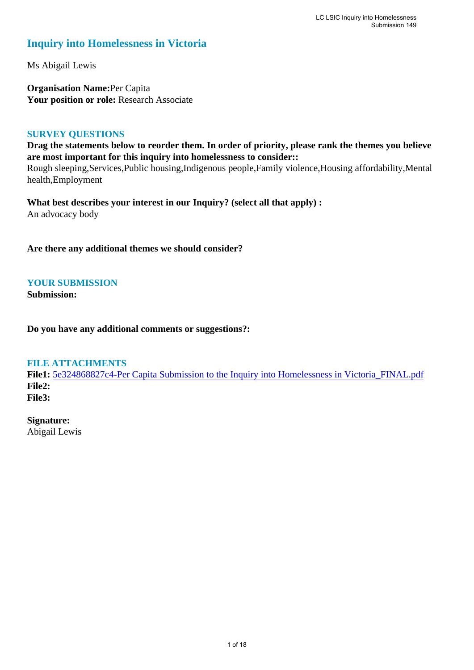# **Inquiry into Homelessness in Victoria**

Ms Abigail Lewis

**Organisation Name:**Per Capita Your position or role: Research Associate

#### **SURVEY QUESTIONS**

**Drag the statements below to reorder them. In order of priority, please rank the themes you believe are most important for this inquiry into homelessness to consider::** 

Rough sleeping,Services,Public housing,Indigenous people,Family violence,Housing affordability,Mental health,Employment

**What best describes your interest in our Inquiry? (select all that apply) :**  An advocacy body

**Are there any additional themes we should consider?**

### **YOUR SUBMISSION**

**Submission:** 

**Do you have any additional comments or suggestions?:** 

#### **FILE ATTACHMENTS**

**File1:** [5e324868827c4-Per Capita Submission to the Inquiry into Homelessness in Victoria\\_FINAL.pdf](https://www.parliament.vic.gov.au/component/rsform/submission-view-file/3c801aa57415e1cb5a13cb69f448e0d2/19eb56daefdac603a2210ca34eab9685?Itemid=527) **File2: File3:** 

**Signature:**

Abigail Lewis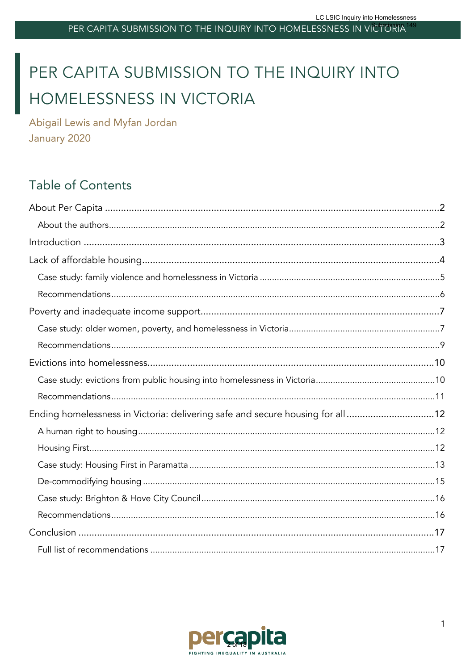# PER CAPITA SUBMISSION TO THE INQUIRY INTO HOMELESSNESS IN VICTORIA

Abigail Lewis and Myfan Jordan January 2020

# Table of Contents

| Ending homelessness in Victoria: delivering safe and secure housing for all12 |  |
|-------------------------------------------------------------------------------|--|
|                                                                               |  |
|                                                                               |  |
|                                                                               |  |
|                                                                               |  |
|                                                                               |  |
|                                                                               |  |
|                                                                               |  |
|                                                                               |  |

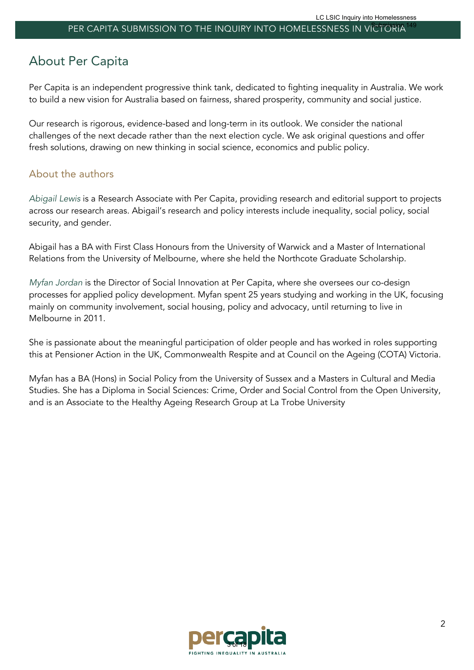# About Per Capita

Per Capita is an independent progressive think tank, dedicated to fighting inequality in Australia. We work to build a new vision for Australia based on fairness, shared prosperity, community and social justice.

Our research is rigorous, evidence-based and long-term in its outlook. We consider the national challenges of the next decade rather than the next election cycle. We ask original questions and offer fresh solutions, drawing on new thinking in social science, economics and public policy.

### About the authors

*Abigail Lewis* is a Research Associate with Per Capita, providing research and editorial support to projects across our research areas. Abigail's research and policy interests include inequality, social policy, social security, and gender.

Abigail has a BA with First Class Honours from the University of Warwick and a Master of International Relations from the University of Melbourne, where she held the Northcote Graduate Scholarship.

*Myfan Jordan* is the Director of Social Innovation at Per Capita, where she oversees our co-design processes for applied policy development. Myfan spent 25 years studying and working in the UK, focusing mainly on community involvement, social housing, policy and advocacy, until returning to live in Melbourne in 2011.

She is passionate about the meaningful participation of older people and has worked in roles supporting this at Pensioner Action in the UK, Commonwealth Respite and at Council on the Ageing (COTA) Victoria.

Myfan has a BA (Hons) in Social Policy from the University of Sussex and a Masters in Cultural and Media Studies. She has a Diploma in Social Sciences: Crime, Order and Social Control from the Open University, and is an Associate to the Healthy Ageing Research Group at La Trobe University

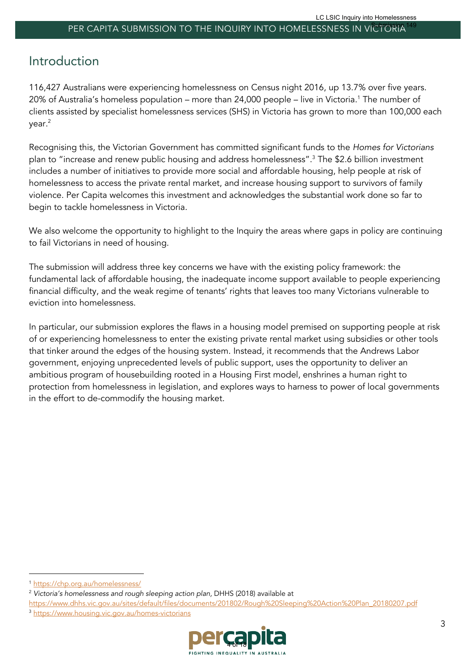# Introduction

116,427 Australians were experiencing homelessness on Census night 2016, up 13.7% over five years. 20% of Australia's homeless population – more than 24,000 people – live in Victoria.<sup>1</sup> The number of clients assisted by specialist homelessness services (SHS) in Victoria has grown to more than 100,000 each year.2

Recognising this, the Victorian Government has committed significant funds to the *Homes for Victorians* plan to "increase and renew public housing and address homelessness".3 The \$2.6 billion investment includes a number of initiatives to provide more social and affordable housing, help people at risk of homelessness to access the private rental market, and increase housing support to survivors of family violence. Per Capita welcomes this investment and acknowledges the substantial work done so far to begin to tackle homelessness in Victoria.

We also welcome the opportunity to highlight to the Inquiry the areas where gaps in policy are continuing to fail Victorians in need of housing.

The submission will address three key concerns we have with the existing policy framework: the fundamental lack of affordable housing, the inadequate income support available to people experiencing financial difficulty, and the weak regime of tenants' rights that leaves too many Victorians vulnerable to eviction into homelessness.

In particular, our submission explores the flaws in a housing model premised on supporting people at risk of or experiencing homelessness to enter the existing private rental market using subsidies or other tools that tinker around the edges of the housing system. Instead, it recommends that the Andrews Labor government, enjoying unprecedented levels of public support, uses the opportunity to deliver an ambitious program of housebuilding rooted in a Housing First model, enshrines a human right to protection from homelessness in legislation, and explores ways to harness to power of local governments in the effort to de-commodify the housing market.

https://www.dhhs.vic.gov.au/sites/default/files/documents/201802/Rough%20Sleeping%20Action%20Plan\_20180207.pdf <sup>3</sup> https://www.housing.vic.gov.au/homes-victorians



<sup>1</sup> https://chp.org.au/homelessness/

<sup>&</sup>lt;sup>2</sup> Victoria's homelessness and rough sleeping action plan, DHHS (2018) available at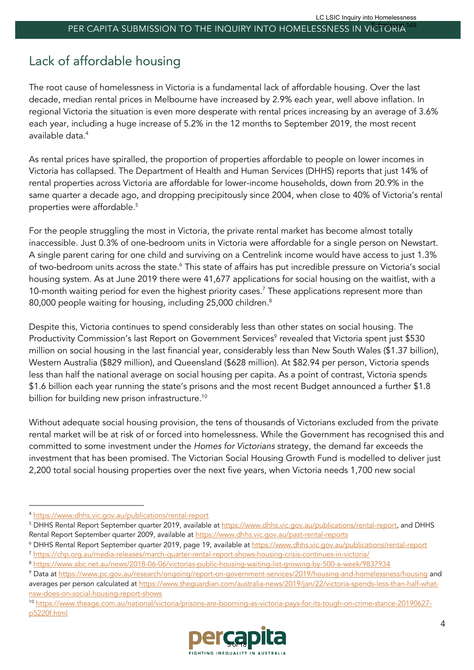# Lack of affordable housing

The root cause of homelessness in Victoria is a fundamental lack of affordable housing. Over the last decade, median rental prices in Melbourne have increased by 2.9% each year, well above inflation. In regional Victoria the situation is even more desperate with rental prices increasing by an average of 3.6% each year, including a huge increase of 5.2% in the 12 months to September 2019, the most recent available data.4

As rental prices have spiralled, the proportion of properties affordable to people on lower incomes in Victoria has collapsed. The Department of Health and Human Services (DHHS) reports that just 14% of rental properties across Victoria are affordable for lower-income households, down from 20.9% in the same quarter a decade ago, and dropping precipitously since 2004, when close to 40% of Victoria's rental properties were affordable.5

For the people struggling the most in Victoria, the private rental market has become almost totally inaccessible. Just 0.3% of one-bedroom units in Victoria were affordable for a single person on Newstart. A single parent caring for one child and surviving on a Centrelink income would have access to just 1.3% of two-bedroom units across the state.6 This state of affairs has put incredible pressure on Victoria's social housing system. As at June 2019 there were 41,677 applications for social housing on the waitlist, with a 10-month waiting period for even the highest priority cases.<sup>7</sup> These applications represent more than 80,000 people waiting for housing, including 25,000 children.<sup>8</sup>

Despite this, Victoria continues to spend considerably less than other states on social housing. The Productivity Commission's last Report on Government Services<sup>9</sup> revealed that Victoria spent just \$530 million on social housing in the last financial year, considerably less than New South Wales (\$1.37 billion), Western Australia (\$829 million), and Queensland (\$628 million). At \$82.94 per person, Victoria spends less than half the national average on social housing per capita. As a point of contrast, Victoria spends \$1.6 billion each year running the state's prisons and the most recent Budget announced a further \$1.8 billion for building new prison infrastructure.<sup>10</sup>

Without adequate social housing provision, the tens of thousands of Victorians excluded from the private rental market will be at risk of or forced into homelessness. While the Government has recognised this and committed to some investment under the *Homes for Victorians* strategy, the demand far exceeds the investment that has been promised. The Victorian Social Housing Growth Fund is modelled to deliver just 2,200 total social housing properties over the next five years, when Victoria needs 1,700 new social

<sup>10</sup> https://www.theage.com.au/national/victoria/prisons-are-booming-as-victoria-pays-for-its-tough-on-crime-stance-20190627 p5220f.html



<sup>4</sup> https://www.dhhs.vic.gov.au/publications/rental-report

<sup>&</sup>lt;sup>5</sup> DHHS Rental Report September quarter 2019, available at https://www.dhhs.vic.gov.au/publications/rental-report, and DHHS Rental Report September quarter 2009, available at https://www.dhhs.vic.gov.au/past-rental-reports

<sup>6</sup> DHHS Rental Report September quarter 2019, page 19, available at https://www.dhhs.vic.gov.au/publications/rental-report <sup>7</sup> https://chp.org.au/media-releases/march-quarter-rental-report-shows-housing-crisis-continues-in-victoria/

<sup>8</sup> https://www.abc.net.au/news/2018-06-06/victorias-public-housing-waiting-list-growing-by-500-a-week/9837934

<sup>9</sup> Data at https://www.pc.gov.au/research/ongoing/report-on-government-services/2019/housing-and-homelessness/housing and averages per person calculated at https://www.theguardian.com/australia-news/2019/jan/22/victoria-spends-less-than-half-whatnsw-does-on-social-housing-report-shows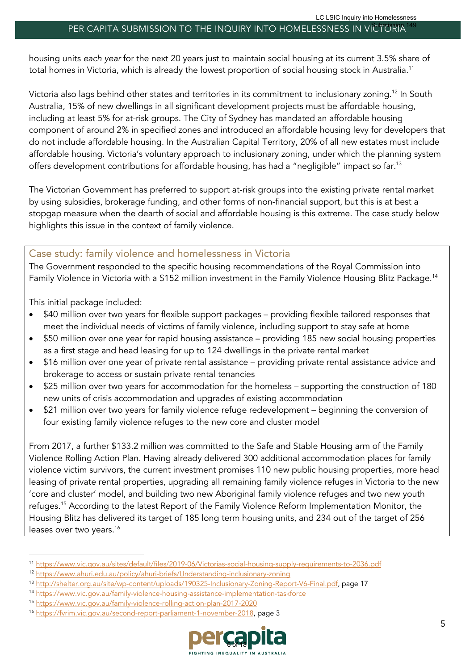housing units *each year* for the next 20 years just to maintain social housing at its current 3.5% share of total homes in Victoria, which is already the lowest proportion of social housing stock in Australia. 11

Victoria also lags behind other states and territories in its commitment to inclusionary zoning.12 In South Australia, 15% of new dwellings in all significant development projects must be affordable housing, including at least 5% for at-risk groups. The City of Sydney has mandated an affordable housing component of around 2% in specified zones and introduced an affordable housing levy for developers that do not include affordable housing. In the Australian Capital Territory, 20% of all new estates must include affordable housing. Victoria's voluntary approach to inclusionary zoning, under which the planning system offers development contributions for affordable housing, has had a "negligible" impact so far.<sup>13</sup>

The Victorian Government has preferred to support at-risk groups into the existing private rental market by using subsidies, brokerage funding, and other forms of non-financial support, but this is at best a stopgap measure when the dearth of social and affordable housing is this extreme. The case study below highlights this issue in the context of family violence.

#### Case study: family violence and homelessness in Victoria

The Government responded to the specific housing recommendations of the Royal Commission into Family Violence in Victoria with a \$152 million investment in the Family Violence Housing Blitz Package.14

This initial package included:

- \$40 million over two years for flexible support packages providing flexible tailored responses that meet the individual needs of victims of family violence, including support to stay safe at home
- \$50 million over one year for rapid housing assistance providing 185 new social housing properties as a first stage and head leasing for up to 124 dwellings in the private rental market
- \$16 million over one year of private rental assistance providing private rental assistance advice and brokerage to access or sustain private rental tenancies
- \$25 million over two years for accommodation for the homeless supporting the construction of 180 new units of crisis accommodation and upgrades of existing accommodation
- \$21 million over two years for family violence refuge redevelopment beginning the conversion of four existing family violence refuges to the new core and cluster model

From 2017, a further \$133.2 million was committed to the Safe and Stable Housing arm of the Family Violence Rolling Action Plan. Having already delivered 300 additional accommodation places for family violence victim survivors, the current investment promises 110 new public housing properties, more head leasing of private rental properties, upgrading all remaining family violence refuges in Victoria to the new 'core and cluster' model, and building two new Aboriginal family violence refuges and two new youth refuges.<sup>15</sup> According to the latest Report of the Family Violence Reform Implementation Monitor, the Housing Blitz has delivered its target of 185 long term housing units, and 234 out of the target of 256 leases over two years.<sup>16</sup>

<sup>15</sup> https://www.vic.gov.au/family-violence-rolling-action-plan-2017-2020

<sup>16</sup> https://fvrim.vic.gov.au/second-report-parliament-1-november-2018, page 3



<sup>11</sup> https://www.vic.gov.au/sites/default/files/2019-06/Victorias-social-housing-supply-requirements-to-2036.pdf

<sup>12</sup> https://www.ahuri.edu.au/policy/ahuri-briefs/Understanding-inclusionary-zoning

<sup>13</sup> http://shelter.org.au/site/wp-content/uploads/190325-Inclusionary-Zoning-Report-V6-Final.pdf, page 17

<sup>14</sup> https://www.vic.gov.au/family-violence-housing-assistance-implementation-taskforce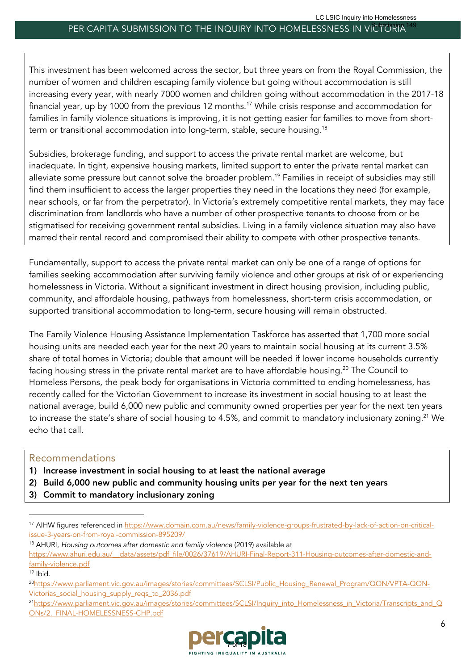This investment has been welcomed across the sector, but three years on from the Royal Commission, the number of women and children escaping family violence but going without accommodation is still increasing every year, with nearly 7000 women and children going without accommodation in the 2017-18 financial year, up by 1000 from the previous 12 months.<sup>17</sup> While crisis response and accommodation for families in family violence situations is improving, it is not getting easier for families to move from shortterm or transitional accommodation into long-term, stable, secure housing.<sup>18</sup>

Subsidies, brokerage funding, and support to access the private rental market are welcome, but inadequate. In tight, expensive housing markets, limited support to enter the private rental market can alleviate some pressure but cannot solve the broader problem.19 Families in receipt of subsidies may still find them insufficient to access the larger properties they need in the locations they need (for example, near schools, or far from the perpetrator). In Victoria's extremely competitive rental markets, they may face discrimination from landlords who have a number of other prospective tenants to choose from or be stigmatised for receiving government rental subsidies. Living in a family violence situation may also have marred their rental record and compromised their ability to compete with other prospective tenants.

Fundamentally, support to access the private rental market can only be one of a range of options for families seeking accommodation after surviving family violence and other groups at risk of or experiencing homelessness in Victoria. Without a significant investment in direct housing provision, including public, community, and affordable housing, pathways from homelessness, short-term crisis accommodation, or supported transitional accommodation to long-term, secure housing will remain obstructed.

The Family Violence Housing Assistance Implementation Taskforce has asserted that 1,700 more social housing units are needed each year for the next 20 years to maintain social housing at its current 3.5% share of total homes in Victoria; double that amount will be needed if lower income households currently facing housing stress in the private rental market are to have affordable housing.<sup>20</sup> The Council to Homeless Persons, the peak body for organisations in Victoria committed to ending homelessness, has recently called for the Victorian Government to increase its investment in social housing to at least the national average, build 6,000 new public and community owned properties per year for the next ten years to increase the state's share of social housing to 4.5%, and commit to mandatory inclusionary zoning. <sup>21</sup> We echo that call.

#### Recommendations

- 1) Increase investment in social housing to at least the national average
- 2) Build 6,000 new public and community housing units per year for the next ten years
- 3) Commit to mandatory inclusionary zoning

<sup>18</sup> AHURI, *Housing outcomes after domestic and family violence* (2019) available at https://www.ahuri.edu.au/\_\_data/assets/pdf\_file/0026/37619/AHURI-Final-Report-311-Housing-outcomes-after-domestic-andfamily-violence.pdf

<sup>&</sup>lt;sup>21</sup>https://www.parliament.vic.gov.au/images/stories/committees/SCLSI/Inquiry\_into\_Homelessness\_in\_Victoria/Transcripts\_and\_Q ONs/2. FINAL-HOMELESSNESS-CHP.pdf



<sup>17</sup> AIHW figures referenced in https://www.domain.com.au/news/family-violence-groups-frustrated-by-lack-of-action-on-criticalissue-3-years-on-from-royal-commission-895209/

<sup>19</sup> Ibid.

<sup>&</sup>lt;sup>20</sup>https://www.parliament.vic.gov.au/images/stories/committees/SCLSI/Public\_Housing\_Renewal\_Program/QON/VPTA-QON-Victorias social housing supply regs to 2036.pdf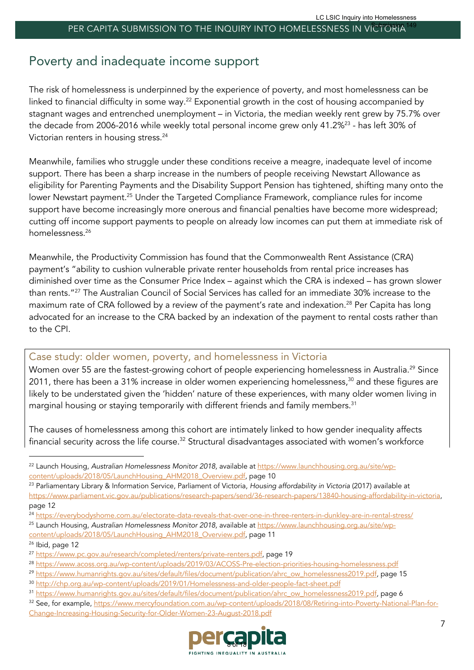# Poverty and inadequate income support

The risk of homelessness is underpinned by the experience of poverty, and most homelessness can be linked to financial difficulty in some way.<sup>22</sup> Exponential growth in the cost of housing accompanied by stagnant wages and entrenched unemployment – in Victoria, the median weekly rent grew by 75.7% over the decade from 2006-2016 while weekly total personal income grew only 41.2%<sup>23</sup> - has left 30% of Victorian renters in housing stress.<sup>24</sup>

Meanwhile, families who struggle under these conditions receive a meagre, inadequate level of income support. There has been a sharp increase in the numbers of people receiving Newstart Allowance as eligibility for Parenting Payments and the Disability Support Pension has tightened, shifting many onto the lower Newstart payment.25 Under the Targeted Compliance Framework, compliance rules for income support have become increasingly more onerous and financial penalties have become more widespread; cutting off income support payments to people on already low incomes can put them at immediate risk of homelessness.26

Meanwhile, the Productivity Commission has found that the Commonwealth Rent Assistance (CRA) payment's "ability to cushion vulnerable private renter households from rental price increases has diminished over time as the Consumer Price Index – against which the CRA is indexed – has grown slower than rents."27 The Australian Council of Social Services has called for an immediate 30% increase to the maximum rate of CRA followed by a review of the payment's rate and indexation.<sup>28</sup> Per Capita has long advocated for an increase to the CRA backed by an indexation of the payment to rental costs rather than to the CPI.

#### Case study: older women, poverty, and homelessness in Victoria

Women over 55 are the fastest-growing cohort of people experiencing homelessness in Australia.<sup>29</sup> Since 2011, there has been a 31% increase in older women experiencing homelessness,<sup>30</sup> and these figures are likely to be understated given the 'hidden' nature of these experiences, with many older women living in marginal housing or staying temporarily with different friends and family members.<sup>31</sup>

The causes of homelessness among this cohort are intimately linked to how gender inequality affects financial security across the life course.<sup>32</sup> Structural disadvantages associated with women's workforce

<sup>32</sup> See, for example, https://www.mercyfoundation.com.au/wp-content/uploads/2018/08/Retiring-into-Poverty-National-Plan-for-Change-Increasing-Housing-Security-for-Older-Women-23-August-2018.pdf



<sup>22</sup> Launch Housing, *Australian Homelessness Monitor 2018,* available at https://www.launchhousing.org.au/site/wpcontent/uploads/2018/05/LaunchHousing\_AHM2018\_Overview.pdf, page 10

<sup>23</sup> Parliamentary Library & Information Service, Parliament of Victoria, *Housing affordability in Victoria* (2017) available at https://www.parliament.vic.gov.au/publications/research-papers/send/36-research-papers/13840-housing-affordability-in-victoria, page 12

<sup>&</sup>lt;sup>24</sup> https://everybodyshome.com.au/electorate-data-reveals-that-over-one-in-three-renters-in-dunkley-are-in-rental-stress/

<sup>25</sup> Launch Housing, *Australian Homelessness Monitor 2018,* available at https://www.launchhousing.org.au/site/wpcontent/uploads/2018/05/LaunchHousing\_AHM2018\_Overview.pdf, page 11

<sup>&</sup>lt;sup>26</sup> Ibid, page 12

<sup>&</sup>lt;sup>27</sup> https://www.pc.gov.au/research/completed/renters/private-renters.pdf, page 19

<sup>28</sup> https://www.acoss.org.au/wp-content/uploads/2019/03/ACOSS-Pre-election-priorities-housing-homelessness.pdf

<sup>&</sup>lt;sup>29</sup> https://www.humanrights.gov.au/sites/default/files/document/publication/ahrc\_ow\_homelessness2019.pdf, page 15

<sup>30</sup> http://chp.org.au/wp-content/uploads/2019/01/Homelessness-and-older-people-fact-sheet.pdf

<sup>31</sup> https://www.humanrights.gov.au/sites/default/files/document/publication/ahrc\_ow\_homelessness2019.pdf, page 6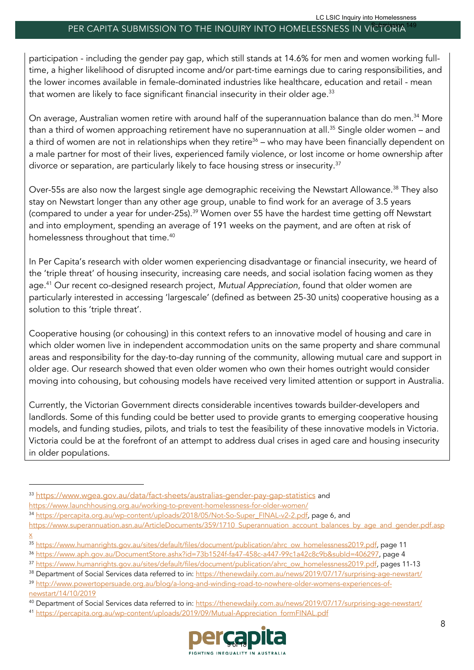participation - including the gender pay gap, which still stands at 14.6% for men and women working fulltime, a higher likelihood of disrupted income and/or part-time earnings due to caring responsibilities, and the lower incomes available in female-dominated industries like healthcare, education and retail - mean that women are likely to face significant financial insecurity in their older age.<sup>33</sup>

On average, Australian women retire with around half of the superannuation balance than do men. <sup>34</sup> More than a third of women approaching retirement have no superannuation at all.<sup>35</sup> Single older women – and a third of women are not in relationships when they retire<sup>36</sup> – who may have been financially dependent on a male partner for most of their lives, experienced family violence, or lost income or home ownership after divorce or separation, are particularly likely to face housing stress or insecurity.<sup>37</sup>

Over-55s are also now the largest single age demographic receiving the Newstart Allowance.<sup>38</sup> They also stay on Newstart longer than any other age group, unable to find work for an average of 3.5 years (compared to under a year for under-25s).<sup>39</sup> Women over 55 have the hardest time getting off Newstart and into employment, spending an average of 191 weeks on the payment, and are often at risk of homelessness throughout that time. $^\mathrm{40}$ 

In Per Capita's research with older women experiencing disadvantage or financial insecurity, we heard of the 'triple threat' of housing insecurity, increasing care needs, and social isolation facing women as they age.41 Our recent co-designed research project, *Mutual Appreciation*, found that older women are particularly interested in accessing 'largescale' (defined as between 25-30 units) cooperative housing as a solution to this 'triple threat'.

Cooperative housing (or cohousing) in this context refers to an innovative model of housing and care in which older women live in independent accommodation units on the same property and share communal areas and responsibility for the day-to-day running of the community, allowing mutual care and support in older age. Our research showed that even older women who own their homes outright would consider moving into cohousing, but cohousing models have received very limited attention or support in Australia.

Currently, the Victorian Government directs considerable incentives towards builder-developers and landlords. Some of this funding could be better used to provide grants to emerging cooperative housing models, and funding studies, pilots, and trials to test the feasibility of these innovative models in Victoria. Victoria could be at the forefront of an attempt to address dual crises in aged care and housing insecurity in older populations.

<sup>41</sup> https://percapita.org.au/wp-content/uploads/2019/09/Mutual-Appreciation\_formFINAL.pdf



<sup>33</sup> https://www.wgea.gov.au/data/fact-sheets/australias-gender-pay-gap-statistics and

https://www.launchhousing.org.au/working-to-prevent-homelessness-for-older-women/

<sup>34</sup> https://percapita.org.au/wp-content/uploads/2018/05/Not-So-Super\_FINAL-v2-2.pdf, page 6, and

https://www.superannuation.asn.au/ArticleDocuments/359/1710\_Superannuation\_account\_balances\_by\_age\_and\_gender.pdf.asp

x

<sup>35</sup> https://www.humanrights.gov.au/sites/default/files/document/publication/ahrc\_ow\_homelessness2019.pdf, page 11

<sup>36</sup> https://www.aph.gov.au/DocumentStore.ashx?id=73b1524f-fa47-458c-a447-99c1a42c8c9b&subId=406297, page 4

<sup>37</sup> https://www.humanrights.gov.au/sites/default/files/document/publication/ahrc\_ow\_homelessness2019.pdf, pages 11-13

<sup>38</sup> Department of Social Services data referred to in: https://thenewdaily.com.au/news/2019/07/17/surprising-age-newstart/ <sup>39</sup> http://www.powertopersuade.org.au/blog/a-long-and-winding-road-to-nowhere-older-womens-experiences-of-

newstart/14/10/2019

<sup>40</sup> Department of Social Services data referred to in: https://thenewdaily.com.au/news/2019/07/17/surprising-age-newstart/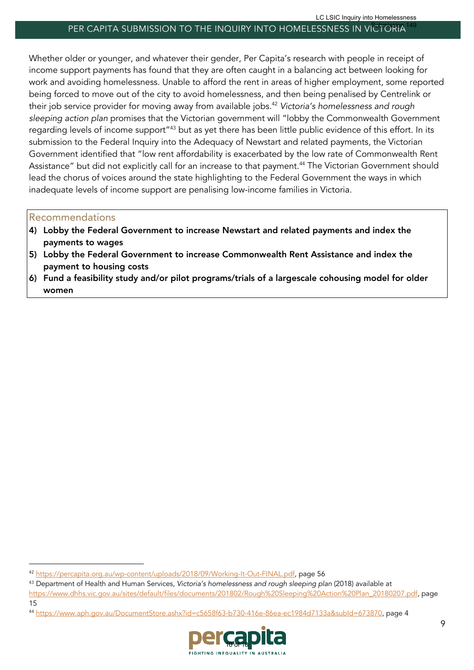Whether older or younger, and whatever their gender, Per Capita's research with people in receipt of income support payments has found that they are often caught in a balancing act between looking for work and avoiding homelessness. Unable to afford the rent in areas of higher employment, some reported being forced to move out of the city to avoid homelessness, and then being penalised by Centrelink or their job service provider for moving away from available jobs. <sup>42</sup> *Victoria's homelessness and rough sleeping action plan* promises that the Victorian government will "lobby the Commonwealth Government regarding levels of income support"43 but as yet there has been little public evidence of this effort. In its submission to the Federal Inquiry into the Adequacy of Newstart and related payments, the Victorian Government identified that "low rent affordability is exacerbated by the low rate of Commonwealth Rent Assistance" but did not explicitly call for an increase to that payment.<sup>44</sup> The Victorian Government should lead the chorus of voices around the state highlighting to the Federal Government the ways in which inadequate levels of income support are penalising low-income families in Victoria.

#### Recommendations

- 4) Lobby the Federal Government to increase Newstart and related payments and index the payments to wages
- 5) Lobby the Federal Government to increase Commonwealth Rent Assistance and index the payment to housing costs
- 6) Fund a feasibility study and/or pilot programs/trials of a largescale cohousing model for older women

<sup>44</sup> https://www.aph.gov.au/DocumentStore.ashx?id=c5658f63-b730-416e-86ea-ec1984d7133a&subId=673870, page 4



<sup>42</sup> https://percapita.org.au/wp-content/uploads/2018/09/Working-It-Out-FINAL.pdf, page 56

<sup>43</sup> Department of Health and Human Services, *Victoria's homelessness and rough sleeping plan* (2018) available at https://www.dhhs.vic.gov.au/sites/default/files/documents/201802/Rough%20Sleeping%20Action%20Plan\_20180207.pdf, page 15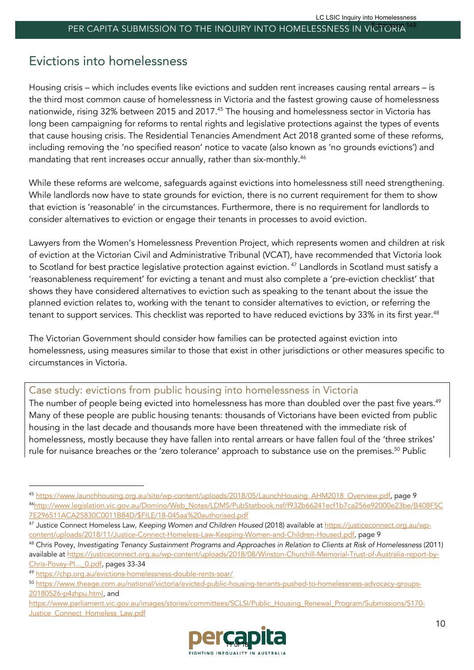# Evictions into homelessness

Housing crisis – which includes events like evictions and sudden rent increases causing rental arrears – is the third most common cause of homelessness in Victoria and the fastest growing cause of homelessness nationwide, rising 32% between 2015 and 2017.<sup>45</sup> The housing and homelessness sector in Victoria has long been campaigning for reforms to rental rights and legislative protections against the types of events that cause housing crisis. The Residential Tenancies Amendment Act 2018 granted some of these reforms, including removing the 'no specified reason' notice to vacate (also known as 'no grounds evictions') and mandating that rent increases occur annually, rather than six-monthly.<sup>46</sup>

While these reforms are welcome, safeguards against evictions into homelessness still need strengthening. While landlords now have to state grounds for eviction, there is no current requirement for them to show that eviction is 'reasonable' in the circumstances. Furthermore, there is no requirement for landlords to consider alternatives to eviction or engage their tenants in processes to avoid eviction.

Lawyers from the Women's Homelessness Prevention Project, which represents women and children at risk of eviction at the Victorian Civil and Administrative Tribunal (VCAT), have recommended that Victoria look to Scotland for best practice legislative protection against eviction.<sup>47</sup> Landlords in Scotland must satisfy a 'reasonableness requirement' for evicting a tenant and must also complete a 'pre-eviction checklist' that shows they have considered alternatives to eviction such as speaking to the tenant about the issue the planned eviction relates to, working with the tenant to consider alternatives to eviction, or referring the tenant to support services. This checklist was reported to have reduced evictions by 33% in its first year.<sup>48</sup>

The Victorian Government should consider how families can be protected against eviction into homelessness, using measures similar to those that exist in other jurisdictions or other measures specific to circumstances in Victoria.

### Case study: evictions from public housing into homelessness in Victoria

The number of people being evicted into homelessness has more than doubled over the past five years.<sup>49</sup> Many of these people are public housing tenants: thousands of Victorians have been evicted from public housing in the last decade and thousands more have been threatened with the immediate risk of homelessness, mostly because they have fallen into rental arrears or have fallen foul of the 'three strikes' rule for nuisance breaches or the 'zero tolerance' approach to substance use on the premises. <sup>50</sup> Public

https://www.parliament.vic.gov.au/images/stories/committees/SCLSI/Public\_Housing\_Renewal\_Program/Submissions/S170- Justice\_Connect\_Homeless\_Law.pdf



<sup>45</sup> https://www.launchhousing.org.au/site/wp-content/uploads/2018/05/LaunchHousing\_AHM2018\_Overview.pdf, page 9 46http://www.legislation.vic.gov.au/Domino/Web\_Notes/LDMS/PubStatbook.nsf/f932b66241ecf1b7ca256e92000e23be/B408F5C 7E296511ACA25830C0011B84D/\$FILE/18-045aa%20authorised.pdf

<sup>47</sup> Justice Connect Homeless Law, *Keeping Women and Children Housed* (2018) available at https://justiceconnect.org.au/wpcontent/uploads/2018/11/Justice-Connect-Homeless-Law-Keeping-Women-and-Children-Housed.pdf, page 9

<sup>48</sup> Chris Povey, *Investigating Tenancy Sustainment Programs and Approaches in Relation to Clients at Risk of Homelessness* (2011) available at https://justiceconnect.org.au/wp-content/uploads/2018/08/Winston-Churchill-Memorial-Trust-of-Australia-report-by-Chris-Povey-Pl... 0.pdf, pages 33-34

<sup>49</sup> https://chp.org.au/evictions-homelessness-double-rents-soar/

<sup>50</sup> https://www.theage.com.au/national/victoria/evicted-public-housing-tenants-pushed-to-homelessness-advocacy-groups-20180526-p4zhpu.html, and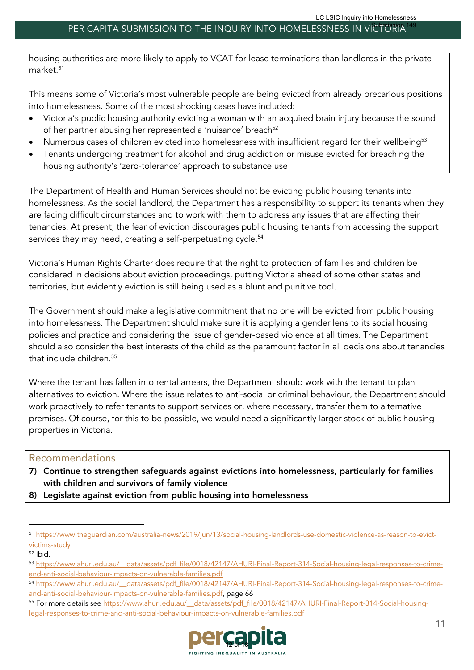housing authorities are more likely to apply to VCAT for lease terminations than landlords in the private market.<sup>51</sup>

This means some of Victoria's most vulnerable people are being evicted from already precarious positions into homelessness. Some of the most shocking cases have included:

- Victoria's public housing authority evicting a woman with an acquired brain injury because the sound of her partner abusing her represented a 'nuisance' breach<sup>52</sup>
- Numerous cases of children evicted into homelessness with insufficient regard for their wellbeing<sup>53</sup>
- Tenants undergoing treatment for alcohol and drug addiction or misuse evicted for breaching the housing authority's 'zero-tolerance' approach to substance use

The Department of Health and Human Services should not be evicting public housing tenants into homelessness. As the social landlord, the Department has a responsibility to support its tenants when they are facing difficult circumstances and to work with them to address any issues that are affecting their tenancies. At present, the fear of eviction discourages public housing tenants from accessing the support services they may need, creating a self-perpetuating cycle.<sup>54</sup>

Victoria's Human Rights Charter does require that the right to protection of families and children be considered in decisions about eviction proceedings, putting Victoria ahead of some other states and territories, but evidently eviction is still being used as a blunt and punitive tool.

The Government should make a legislative commitment that no one will be evicted from public housing into homelessness. The Department should make sure it is applying a gender lens to its social housing policies and practice and considering the issue of gender-based violence at all times. The Department should also consider the best interests of the child as the paramount factor in all decisions about tenancies that include children. 55

Where the tenant has fallen into rental arrears, the Department should work with the tenant to plan alternatives to eviction. Where the issue relates to anti-social or criminal behaviour, the Department should work proactively to refer tenants to support services or, where necessary, transfer them to alternative premises. Of course, for this to be possible, we would need a significantly larger stock of public housing properties in Victoria.

### Recommendations

- 7) Continue to strengthen safeguards against evictions into homelessness, particularly for families with children and survivors of family violence
- 8) Legislate against eviction from public housing into homelessness

<sup>55</sup> For more details see https://www.ahuri.edu.au/ data/assets/pdf file/0018/42147/AHURI-Final-Report-314-Social-housinglegal-responses-to-crime-and-anti-social-behaviour-impacts-on-vulnerable-families.pdf



<sup>51</sup> https://www.theguardian.com/australia-news/2019/jun/13/social-housing-landlords-use-domestic-violence-as-reason-to-evictvictims-study

 $52$  Ibid.

<sup>53</sup> https://www.ahuri.edu.au/ data/assets/pdf file/0018/42147/AHURI-Final-Report-314-Social-housing-legal-responses-to-crimeand-anti-social-behaviour-impacts-on-vulnerable-families.pdf

<sup>54</sup> https://www.ahuri.edu.au/ data/assets/pdf file/0018/42147/AHURI-Final-Report-314-Social-housing-legal-responses-to-crimeand-anti-social-behaviour-impacts-on-vulnerable-families.pdf, page 66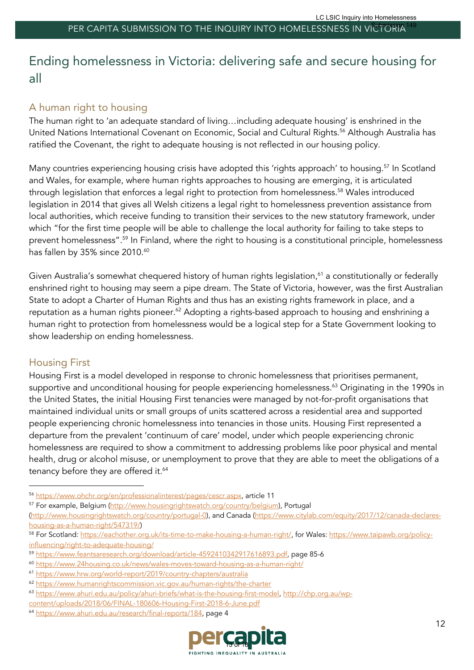# Ending homelessness in Victoria: delivering safe and secure housing for all

## A human right to housing

The human right to 'an adequate standard of living…including adequate housing' is enshrined in the United Nations International Covenant on Economic, Social and Cultural Rights.<sup>56</sup> Although Australia has ratified the Covenant, the right to adequate housing is not reflected in our housing policy.

Many countries experiencing housing crisis have adopted this 'rights approach' to housing.<sup>57</sup> In Scotland and Wales, for example, where human rights approaches to housing are emerging, it is articulated through legislation that enforces a legal right to protection from homelessness. <sup>58</sup> Wales introduced legislation in 2014 that gives all Welsh citizens a legal right to homelessness prevention assistance from local authorities, which receive funding to transition their services to the new statutory framework, under which "for the first time people will be able to challenge the local authority for failing to take steps to prevent homelessness".59 In Finland, where the right to housing is a constitutional principle, homelessness has fallen by 35% since 2010.<sup>60</sup>

Given Australia's somewhat chequered history of human rights legislation,<sup>61</sup> a constitutionally or federally enshrined right to housing may seem a pipe dream. The State of Victoria, however, was the first Australian State to adopt a Charter of Human Rights and thus has an existing rights framework in place, and a reputation as a human rights pioneer.<sup>62</sup> Adopting a rights-based approach to housing and enshrining a human right to protection from homelessness would be a logical step for a State Government looking to show leadership on ending homelessness.

### Housing First

Housing First is a model developed in response to chronic homelessness that prioritises permanent, supportive and unconditional housing for people experiencing homelessness.<sup>63</sup> Originating in the 1990s in the United States, the initial Housing First tenancies were managed by not-for-profit organisations that maintained individual units or small groups of units scattered across a residential area and supported people experiencing chronic homelessness into tenancies in those units. Housing First represented a departure from the prevalent 'continuum of care' model, under which people experiencing chronic homelessness are required to show a commitment to addressing problems like poor physical and mental health, drug or alcohol misuse, or unemployment to prove that they are able to meet the obligations of a tenancy before they are offered it.<sup>64</sup>

<sup>64</sup> https://www.ahuri.edu.au/research/final-reports/184, page 4



<sup>56</sup> https://www.ohchr.org/en/professionalinterest/pages/cescr.aspx, article 11

<sup>57</sup> For example, Belgium (http://www.housingrightswatch.org/country/belgium), Portugal

<sup>(</sup>http://www.housingrightswatch.org/country/portugal-0), and Canada (https://www.citylab.com/equity/2017/12/canada-declareshousing-as-a-human-right/547319/)

<sup>58</sup> For Scotland: https://eachother.org.uk/its-time-to-make-housing-a-human-right/, for Wales: https://www.taipawb.org/policyinfluencing/right-to-adequate-housing/

<sup>59</sup> https://www.feantsaresearch.org/download/article-4592410342917616893.pdf, page 85-6

<sup>60</sup> https://www.24housing.co.uk/news/wales-moves-toward-housing-as-a-human-right/

<sup>61</sup> https://www.hrw.org/world-report/2019/country-chapters/australia

<sup>62</sup> https://www.humanrightscommission.vic.gov.au/human-rights/the-charter

<sup>63</sup> https://www.ahuri.edu.au/policy/ahuri-briefs/what-is-the-housing-first-model, http://chp.org.au/wp-

content/uploads/2018/06/FINAL-180606-Housing-First-2018-6-June.pdf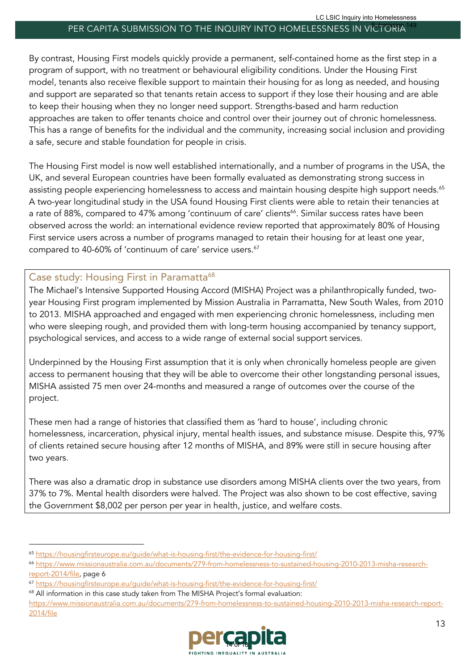By contrast, Housing First models quickly provide a permanent, self-contained home as the first step in a program of support, with no treatment or behavioural eligibility conditions. Under the Housing First model, tenants also receive flexible support to maintain their housing for as long as needed, and housing and support are separated so that tenants retain access to support if they lose their housing and are able to keep their housing when they no longer need support. Strengths-based and harm reduction approaches are taken to offer tenants choice and control over their journey out of chronic homelessness. This has a range of benefits for the individual and the community, increasing social inclusion and providing a safe, secure and stable foundation for people in crisis.

The Housing First model is now well established internationally, and a number of programs in the USA, the UK, and several European countries have been formally evaluated as demonstrating strong success in assisting people experiencing homelessness to access and maintain housing despite high support needs. $^{65}$ A two-year longitudinal study in the USA found Housing First clients were able to retain their tenancies at a rate of 88%, compared to 47% among 'continuum of care' clients<sup>66</sup>. Similar success rates have been observed across the world: an international evidence review reported that approximately 80% of Housing First service users across a number of programs managed to retain their housing for at least one year, compared to 40-60% of 'continuum of care' service users. 67

### Case study: Housing First in Paramatta<sup>68</sup>

The Michael's Intensive Supported Housing Accord (MISHA) Project was a philanthropically funded, twoyear Housing First program implemented by Mission Australia in Parramatta, New South Wales, from 2010 to 2013. MISHA approached and engaged with men experiencing chronic homelessness, including men who were sleeping rough, and provided them with long-term housing accompanied by tenancy support, psychological services, and access to a wide range of external social support services.

Underpinned by the Housing First assumption that it is only when chronically homeless people are given access to permanent housing that they will be able to overcome their other longstanding personal issues, MISHA assisted 75 men over 24-months and measured a range of outcomes over the course of the project.

These men had a range of histories that classified them as 'hard to house', including chronic homelessness, incarceration, physical injury, mental health issues, and substance misuse. Despite this, 97% of clients retained secure housing after 12 months of MISHA, and 89% were still in secure housing after two years.

There was also a dramatic drop in substance use disorders among MISHA clients over the two years, from 37% to 7%. Mental health disorders were halved. The Project was also shown to be cost effective, saving the Government \$8,002 per person per year in health, justice, and welfare costs.

https://www.missionaustralia.com.au/documents/279-from-homelessness-to-sustained-housing-2010-2013-misha-research-report-2014/file



<sup>65</sup> https://housingfirsteurope.eu/guide/what-is-housing-first/the-evidence-for-housing-first/

<sup>66</sup> https://www.missionaustralia.com.au/documents/279-from-homelessness-to-sustained-housing-2010-2013-misha-researchreport-2014/file, page 6

<sup>67</sup> https://housingfirsteurope.eu/guide/what-is-housing-first/the-evidence-for-housing-first/

<sup>&</sup>lt;sup>68</sup> All information in this case study taken from The MISHA Project's formal evaluation: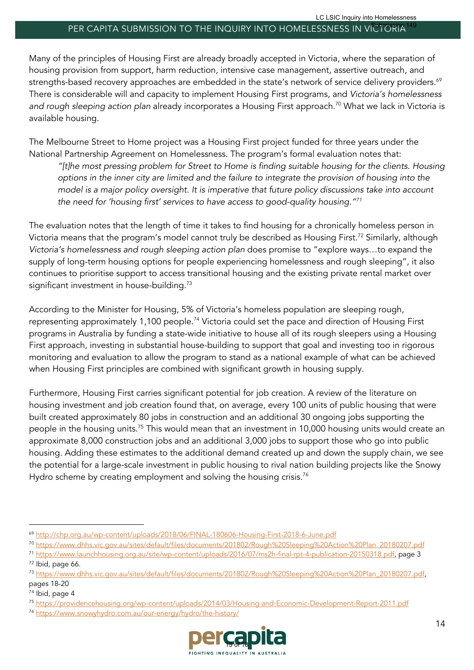Many of the principles of Housing First are already broadly accepted in Victoria, where the separation of housing provision from support, harm reduction, intensive case management, assertive outreach, and strengths-based recovery approaches are embedded in the state's network of service delivery providers. 69 There is considerable will and capacity to implement Housing First programs, and *Victoria's homelessness and rough sleeping action plan* already incorporates a Housing First approach. <sup>70</sup> What we lack in Victoria is available housing.

The Melbourne Street to Home project was a Housing First project funded for three years under the National Partnership Agreement on Homelessness. The program's formal evaluation notes that: *"[t]he most pressing problem for Street to Home is finding suitable housing for the clients. Housing options in the inner city are limited and the failure to integrate the provision of housing into the model is a major policy oversight. It is imperative that future policy discussions take into account* 

The evaluation notes that the length of time it takes to find housing for a chronically homeless person in Victoria means that the program's model cannot truly be described as Housing First.<sup>72</sup> Similarly, although *Victoria's homelessness and rough sleeping action plan* does promise to "explore ways…to expand the supply of long-term housing options for people experiencing homelessness and rough sleeping", it also continues to prioritise support to access transitional housing and the existing private rental market over significant investment in house-building.<sup>73</sup>

*the need for 'housing first' services to have access to good-quality housing."71*

According to the Minister for Housing, 5% of Victoria's homeless population are sleeping rough, representing approximately 1,100 people.<sup>74</sup> Victoria could set the pace and direction of Housing First programs in Australia by funding a state-wide initiative to house all of its rough sleepers using a Housing First approach, investing in substantial house-building to support that goal and investing too in rigorous monitoring and evaluation to allow the program to stand as a national example of what can be achieved when Housing First principles are combined with significant growth in housing supply.

Furthermore, Housing First carries significant potential for job creation. A review of the literature on housing investment and job creation found that, on average, every 100 units of public housing that were built created approximately 80 jobs in construction and an additional 30 ongoing jobs supporting the people in the housing units.<sup>75</sup> This would mean that an investment in 10,000 housing units would create an approximate 8,000 construction jobs and an additional 3,000 jobs to support those who go into public housing. Adding these estimates to the additional demand created up and down the supply chain, we see the potential for a large-scale investment in public housing to rival nation building projects like the Snowy Hydro scheme by creating employment and solving the housing crisis.<sup>76</sup>

<sup>76</sup> https://www.snowyhydro.com.au/our-energy/hydro/the-history/



<sup>69</sup> http://chp.org.au/wp-content/uploads/2018/06/FINAL-180606-Housing-First-2018-6-June.pdf

<sup>70</sup> https://www.dhhs.vic.gov.au/sites/default/files/documents/201802/Rough%20Sleeping%20Action%20Plan\_20180207.pdf

<sup>71</sup> https://www.launchhousing.org.au/site/wp-content/uploads/2016/07/ms2h-final-rpt-4-publication-20150318.pdf, page 3 <sup>72</sup> Ibid, page 66.

<sup>73</sup> https://www.dhhs.vic.gov.au/sites/default/files/documents/201802/Rough%20Sleeping%20Action%20Plan\_20180207.pdf, pages 18-20

<sup>74</sup> Ibid, page 4

<sup>75</sup> https://providencehousing.org/wp-content/uploads/2014/03/Housing-and-Economic-Development-Report-2011.pdf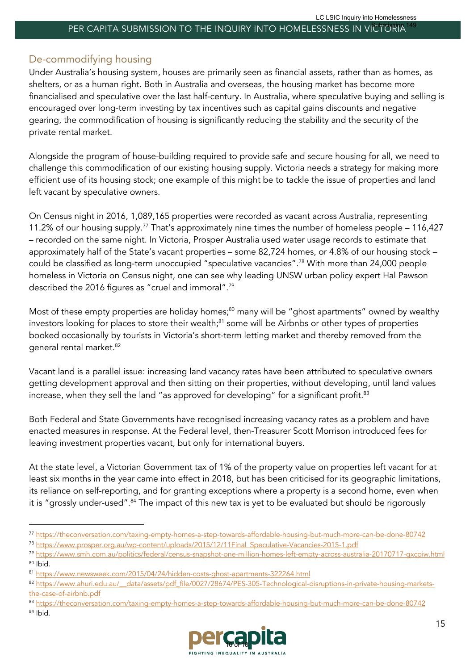### De-commodifying housing

Under Australia's housing system, houses are primarily seen as financial assets, rather than as homes, as shelters, or as a human right. Both in Australia and overseas, the housing market has become more financialised and speculative over the last half-century. In Australia, where speculative buying and selling is encouraged over long-term investing by tax incentives such as capital gains discounts and negative gearing, the commodification of housing is significantly reducing the stability and the security of the private rental market.

Alongside the program of house-building required to provide safe and secure housing for all, we need to challenge this commodification of our existing housing supply. Victoria needs a strategy for making more efficient use of its housing stock; one example of this might be to tackle the issue of properties and land left vacant by speculative owners.

On Census night in 2016, 1,089,165 properties were recorded as vacant across Australia, representing 11.2% of our housing supply.77 That's approximately nine times the number of homeless people – 116,427 – recorded on the same night. In Victoria, Prosper Australia used water usage records to estimate that approximately half of the State's vacant properties – some 82,724 homes, or 4.8% of our housing stock – could be classified as long-term unoccupied "speculative vacancies".78 With more than 24,000 people homeless in Victoria on Census night, one can see why leading UNSW urban policy expert Hal Pawson described the 2016 figures as "cruel and immoral".79

Most of these empty properties are holiday homes;<sup>80</sup> many will be "ghost apartments" owned by wealthy investors looking for places to store their wealth;<sup>81</sup> some will be Airbnbs or other types of properties booked occasionally by tourists in Victoria's short-term letting market and thereby removed from the general rental market. 82

Vacant land is a parallel issue: increasing land vacancy rates have been attributed to speculative owners getting development approval and then sitting on their properties, without developing, until land values increase, when they sell the land "as approved for developing" for a significant profit.<sup>83</sup>

Both Federal and State Governments have recognised increasing vacancy rates as a problem and have enacted measures in response. At the Federal level, then-Treasurer Scott Morrison introduced fees for leaving investment properties vacant, but only for international buyers.

At the state level, a Victorian Government tax of 1% of the property value on properties left vacant for at least six months in the year came into effect in 2018, but has been criticised for its geographic limitations, its reliance on self-reporting, and for granting exceptions where a property is a second home, even when it is "grossly under-used".<sup>84</sup> The impact of this new tax is yet to be evaluated but should be rigorously

<sup>83</sup> https://theconversation.com/taxing-empty-homes-a-step-towards-affordable-housing-but-much-more-can-be-done-80742 <sup>84</sup> Ibid.



<sup>77</sup> https://theconversation.com/taxing-empty-homes-a-step-towards-affordable-housing-but-much-more-can-be-done-80742

<sup>78</sup> https://www.prosper.org.au/wp-content/uploads/2015/12/11Final\_Speculative-Vacancies-2015-1.pdf

<sup>79</sup> https://www.smh.com.au/politics/federal/census-snapshot-one-million-homes-left-empty-across-australia-20170717-gxcpiw.html <sup>80</sup> Ibid.

<sup>81</sup> https://www.newsweek.com/2015/04/24/hidden-costs-ghost-apartments-322264.html

<sup>82</sup> https://www.ahuri.edu.au/ data/assets/pdf file/0027/28674/PES-305-Technological-disruptions-in-private-housing-marketsthe-case-of-airbnb.pdf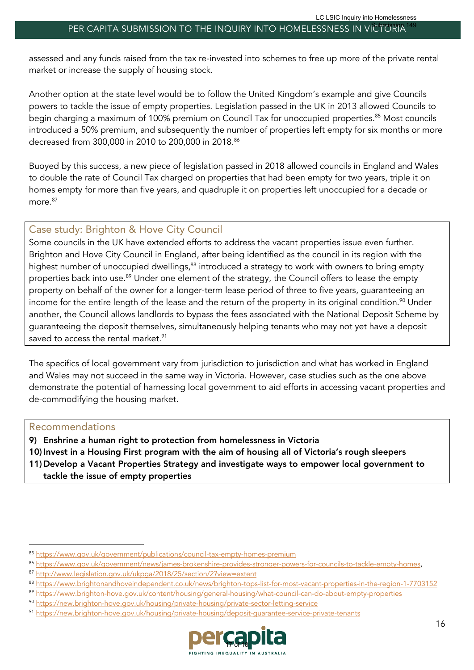assessed and any funds raised from the tax re-invested into schemes to free up more of the private rental market or increase the supply of housing stock.

Another option at the state level would be to follow the United Kingdom's example and give Councils powers to tackle the issue of empty properties. Legislation passed in the UK in 2013 allowed Councils to begin charging a maximum of 100% premium on Council Tax for unoccupied properties. <sup>85</sup> Most councils introduced a 50% premium, and subsequently the number of properties left empty for six months or more decreased from 300,000 in 2010 to 200,000 in 2018.<sup>86</sup>

Buoyed by this success, a new piece of legislation passed in 2018 allowed councils in England and Wales to double the rate of Council Tax charged on properties that had been empty for two years, triple it on homes empty for more than five years, and quadruple it on properties left unoccupied for a decade or more.<sup>87</sup>

#### Case study: Brighton & Hove City Council

Some councils in the UK have extended efforts to address the vacant properties issue even further. Brighton and Hove City Council in England, after being identified as the council in its region with the highest number of unoccupied dwellings,<sup>88</sup> introduced a strategy to work with owners to bring empty properties back into use.<sup>89</sup> Under one element of the strategy, the Council offers to lease the empty property on behalf of the owner for a longer-term lease period of three to five years, guaranteeing an income for the entire length of the lease and the return of the property in its original condition. $^{\text{90}}$  Under another, the Council allows landlords to bypass the fees associated with the National Deposit Scheme by guaranteeing the deposit themselves, simultaneously helping tenants who may not yet have a deposit saved to access the rental market.<sup>91</sup>

The specifics of local government vary from jurisdiction to jurisdiction and what has worked in England and Wales may not succeed in the same way in Victoria. However, case studies such as the one above demonstrate the potential of harnessing local government to aid efforts in accessing vacant properties and de-commodifying the housing market.

#### Recommendations

9) Enshrine a human right to protection from homelessness in Victoria

10) Invest in a Housing First program with the aim of housing all of Victoria's rough sleepers

11) Develop a Vacant Properties Strategy and investigate ways to empower local government to tackle the issue of empty properties

<sup>91</sup> https://new.brighton-hove.gov.uk/housing/private-housing/deposit-guarantee-service-private-tenants



<sup>85</sup> https://www.gov.uk/government/publications/council-tax-empty-homes-premium

<sup>86</sup> https://www.gov.uk/government/news/james-brokenshire-provides-stronger-powers-for-councils-to-tackle-empty-homes,

<sup>87</sup> http://www.legislation.gov.uk/ukpga/2018/25/section/2?view=extent

<sup>88</sup> https://www.brightonandhoveindependent.co.uk/news/brighton-tops-list-for-most-vacant-properties-in-the-region-1-7703152

<sup>89</sup> https://www.brighton-hove.gov.uk/content/housing/general-housing/what-council-can-do-about-empty-properties

<sup>90</sup> https://new.brighton-hove.gov.uk/housing/private-housing/private-sector-letting-service